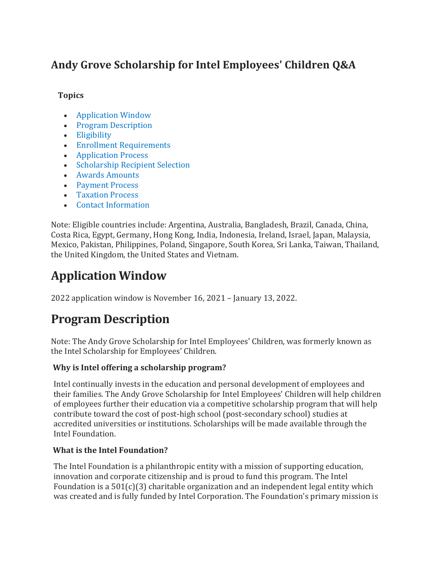## **Andy Grove Scholarship for Intel Employees' Children Q&A**

#### **Topics**

- [Application Window](https://circuit.intel.com/content/hr/worklife/general/Scholarship_for_Employees_Children_FAQs.html#application-window)
- [Program Description](https://circuit.intel.com/content/hr/worklife/general/Scholarship_for_Employees_Children_FAQs.html#program-description)
- [Eligibility](https://circuit.intel.com/content/hr/worklife/general/Scholarship_for_Employees_Children_FAQs.html#eligibility)
- [Enrollment Requirements](https://circuit.intel.com/content/hr/worklife/general/Scholarship_for_Employees_Children_FAQs.html#enrollment-requirements-)
- [Application Process](https://circuit.intel.com/content/hr/worklife/general/Scholarship_for_Employees_Children_FAQs.html#application-process)
- [Scholarship Recipient Selection](https://circuit.intel.com/content/hr/worklife/general/Scholarship_for_Employees_Children_FAQs.html#scholarship-recipient-selection)
- [Awards Amounts](https://circuit.intel.com/content/hr/worklife/general/Scholarship_for_Employees_Children_FAQs.html#awards-amounts-)
- [Payment Process](https://circuit.intel.com/content/hr/worklife/general/Scholarship_for_Employees_Children_FAQs.html#payment-process)
- [Taxation Process](https://circuit.intel.com/content/hr/worklife/general/Scholarship_for_Employees_Children_FAQs.html#taxation-process)
- [Contact Information](https://circuit.intel.com/content/hr/worklife/general/Scholarship_for_Employees_Children_FAQs.html#contact-information)

Note: Eligible countries include: Argentina, Australia, Bangladesh, Brazil, Canada, China, Costa Rica, Egypt, Germany, Hong Kong, India, Indonesia, Ireland, Israel, Japan, Malaysia, Mexico, Pakistan, Philippines, Poland, Singapore, South Korea, Sri Lanka, Taiwan, Thailand, the United Kingdom, the United States and Vietnam.

# **Application Window**

2022 application window is November 16, 2021 – January 13, 2022.

# **Program Description**

Note: The Andy Grove Scholarship for Intel Employees' Children, was formerly known as the Intel Scholarship for Employees' Children.

## **Why is Intel offering a scholarship program?**

Intel continually invests in the education and personal development of employees and their families. The Andy Grove Scholarship for Intel Employees' Children will help children of employees further their education via a competitive scholarship program that will help contribute toward the cost of post-high school (post-secondary school) studies at accredited universities or institutions. Scholarships will be made available through the Intel Foundation.

#### **What is the Intel Foundation?**

The Intel Foundation is a philanthropic entity with a mission of supporting education, innovation and corporate citizenship and is proud to fund this program. The Intel Foundation is a  $501(c)(3)$  charitable organization and an independent legal entity which was created and is fully funded by Intel Corporation. The Foundation's primary mission is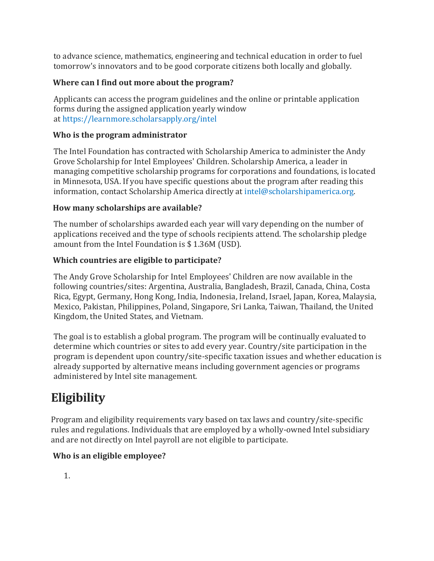to advance science, mathematics, engineering and technical education in order to fuel tomorrow's innovators and to be good corporate citizens both locally and globally.

## **Where can I find out more about the program?**

Applicants can access the program guidelines and the online or printable application forms during the assigned application yearly window at <https://learnmore.scholarsapply.org/intel>

#### **Who is the program administrator**

The Intel Foundation has contracted with Scholarship America to administer the Andy Grove Scholarship for Intel Employees' Children. Scholarship America, a leader in managing competitive scholarship programs for corporations and foundations, is located in Minnesota, USA. If you have specific questions about the program after reading this information, contact Scholarship America directly at [intel@scholarshipamerica.org.](mailto:intel@scholarshipamerica.org)

## **How many scholarships are available?**

The number of scholarships awarded each year will vary depending on the number of applications received and the type of schools recipients attend. The scholarship pledge amount from the Intel Foundation is \$ 1.36M (USD).

## **Which countries are eligible to participate?**

The Andy Grove Scholarship for Intel Employees' Children are now available in the following countries/sites: Argentina, Australia, Bangladesh, Brazil, Canada, China, Costa Rica, Egypt, Germany, Hong Kong, India, Indonesia, Ireland, Israel, Japan, Korea, Malaysia, Mexico, Pakistan, Philippines, Poland, Singapore, Sri Lanka, Taiwan, Thailand, the United Kingdom, the United States, and Vietnam.

The goal is to establish a global program. The program will be continually evaluated to determine which countries or sites to add every year. Country/site participation in the program is dependent upon country/site-specific taxation issues and whether education is already supported by alternative means including government agencies or programs administered by Intel site management.

# **Eligibility**

Program and eligibility requirements vary based on tax laws and country/site-specific rules and regulations. Individuals that are employed by a wholly-owned Intel subsidiary and are not directly on Intel payroll are not eligible to participate.

## **Who is an eligible employee?**

1.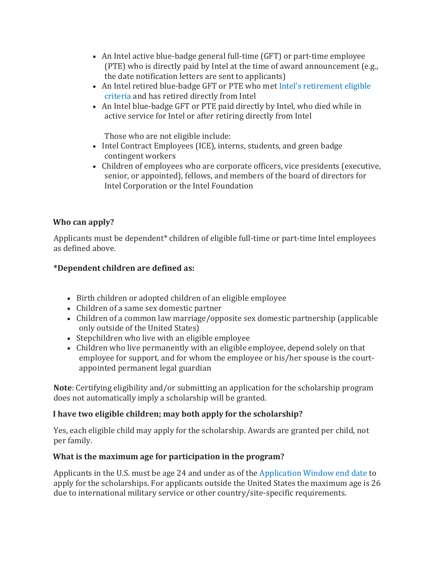- An Intel active blue-badge general full-time (GFT) or part-time employee (PTE) who is directly paid by Intel at the time of award announcement (e.g., the date notification letters are sent to applicants)
- An Intel retired blue-badge GFT or PTE who met [Intel's retirement eligible](https://circuit.intel.com/content/hr/benefits/retirement/Retiree_Frequently_Asked_Questions.html)  [criteria](https://circuit.intel.com/content/hr/benefits/retirement/Retiree_Frequently_Asked_Questions.html) and has retired directly from Intel
- An Intel blue-badge GFT or PTE paid directly by Intel, who died while in active service for Intel or after retiring directly from Intel

Those who are not eligible include:

- Intel Contract Employees (ICE), interns, students, and green badge contingent workers
- Children of employees who are corporate officers, vice presidents (executive, senior, or appointed), fellows, and members of the board of directors for Intel Corporation or the Intel Foundation

## **Who can apply?**

Applicants must be dependent\* children of eligible full-time or part-time Intel employees as defined above.

## **\*Dependent children are defined as:**

- Birth children or adopted children of an eligible employee
- Children of a same sex domestic partner
- Children of a common law marriage/opposite sex domestic partnership (applicable only outside of the United States)
- Stepchildren who live with an eligible employee
- Children who live permanently with an eligible employee, depend solely on that employee for support, and for whom the employee or his/her spouse is the courtappointed permanent legal guardian

**Note**: Certifying eligibility and/or submitting an application for the scholarship program does not automatically imply a scholarship will be granted.

#### **I have two eligible children; may both apply for the scholarship?**

Yes, each eligible child may apply for the scholarship. Awards are granted per child, not per family.

#### **What is the maximum age for participation in the program?**

Applicants in the U.S. must be age 24 and under as of the [Application Window end date](https://employeecontent.intel.com/content/hr/worklife/general/Scholarship_for_Employees_Children_FAQs.html#E_ApplicationWindow) to apply for the scholarships. For applicants outside the United States the maximum age is 26 due to international military service or other country/site-specific requirements.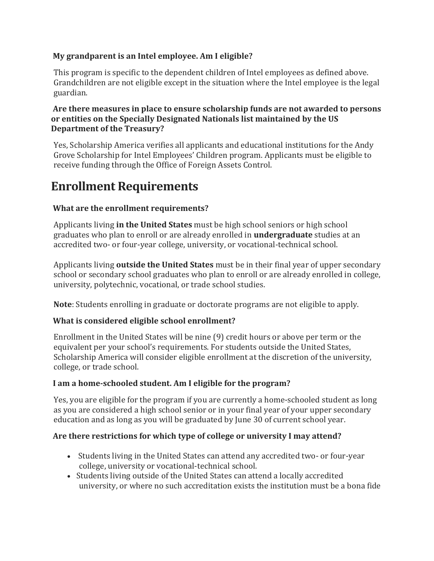#### **My grandparent is an Intel employee. Am I eligible?**

This program is specific to the dependent children of Intel employees as defined above. Grandchildren are not eligible except in the situation where the Intel employee is the legal guardian.

#### **Are there measures in place to ensure scholarship funds are not awarded to persons or entities on the Specially Designated Nationals list maintained by the US Department of the Treasury?**

Yes, Scholarship America verifies all applicants and educational institutions for the Andy Grove Scholarship for Intel Employees' Children program. Applicants must be eligible to receive funding through the Office of Foreign Assets Control.

# **Enrollment Requirements**

## **What are the enrollment requirements?**

Applicants living **in the United States** must be high school seniors or high school graduates who plan to enroll or are already enrolled in **undergraduate** studies at an accredited two- or four-year college, university, or vocational-technical school.

Applicants living **outside the United States** must be in their final year of upper secondary school or secondary school graduates who plan to enroll or are already enrolled in college, university, polytechnic, vocational, or trade school studies.

**Note**: Students enrolling in graduate or doctorate programs are not eligible to apply.

#### **What is considered eligible school enrollment?**

Enrollment in the United States will be nine (9) credit hours or above per term or the equivalent per your school's requirements. For students outside the United States, Scholarship America will consider eligible enrollment at the discretion of the university, college, or trade school.

#### **I am a home-schooled student. Am I eligible for the program?**

Yes, you are eligible for the program if you are currently a home-schooled student as long as you are considered a high school senior or in your final year of your upper secondary education and as long as you will be graduated by June 30 of current school year.

#### **Are there restrictions for which type of college or university I may attend?**

- Students living in the United States can attend any accredited two- or four-year college, university or vocational-technical school.
- Students living outside of the United States can attend a locally accredited university, or where no such accreditation exists the institution must be a bona fide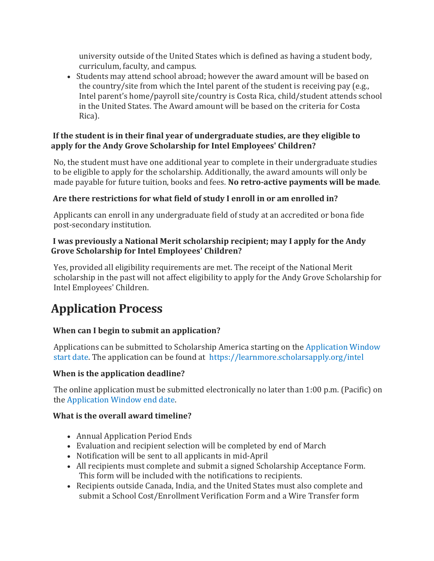university outside of the United States which is defined as having a student body, curriculum, faculty, and campus.

 Students may attend school abroad; however the award amount will be based on the country/site from which the Intel parent of the student is receiving pay (e.g., Intel parent's home/payroll site/country is Costa Rica, child/student attends school in the United States. The Award amount will be based on the criteria for Costa Rica).

#### **If the student is in their final year of undergraduate studies, are they eligible to apply for the Andy Grove Scholarship for Intel Employees' Children?**

No, the student must have one additional year to complete in their undergraduate studies to be eligible to apply for the scholarship. Additionally, the award amounts will only be made payable for future tuition, books and fees. **No retro-active payments will be made**.

## **Are there restrictions for what field of study I enroll in or am enrolled in?**

Applicants can enroll in any undergraduate field of study at an accredited or bona fide post-secondary institution.

#### **I was previously a National Merit scholarship recipient; may I apply for the Andy Grove Scholarship for Intel Employees' Children?**

Yes, provided all eligibility requirements are met. The receipt of the National Merit scholarship in the past will not affect eligibility to apply for the Andy Grove Scholarship for Intel Employees' Children.

# **Application Process**

## **When can I begin to submit an application?**

Applications can be submitted to Scholarship America starting on the [Application Window](https://circuit.intel.com/content/hr/worklife/general/Scholarship_for_Employees_Children_FAQs.html#1)  [start date.](https://circuit.intel.com/content/hr/worklife/general/Scholarship_for_Employees_Children_FAQs.html#1) The application can be found at <https://learnmore.scholarsapply.org/intel>

#### **When is the application deadline?**

The online application must be submitted electronically no later than 1:00 p.m. (Pacific) on the [Application Window end date.](https://circuit.intel.com/content/hr/worklife/general/Scholarship_for_Employees_Children_FAQs.html#1)

#### **What is the overall award timeline?**

- Annual Application Period Ends
- Evaluation and recipient selection will be completed by end of March
- Notification will be sent to all applicants in mid-April
- All recipients must complete and submit a signed Scholarship Acceptance Form. This form will be included with the notifications to recipients.
- Recipients outside Canada, India, and the United States must also complete and submit a School Cost/Enrollment Verification Form and a Wire Transfer form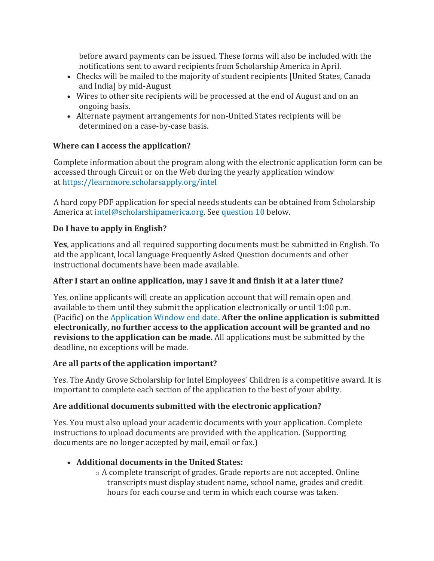before award payments can be issued. These forms will also be included with the notifications sent to award recipients from Scholarship America in April.

- Checks will be mailed to the majority of student recipients [United States, Canada and India] by mid-August
- Wires to other site recipients will be processed at the end of August and on an ongoing basis.
- Alternate payment arrangements for non-United States recipients will be determined on a case-by-case basis.

## **Where can I access the application?**

Complete information about the program along with the electronic application form can be accessed through Circuit or on the Web during the yearly application window at <https://learnmore.scholarsapply.org/intel>

A hard copy PDF application for special needs students can be obtained from Scholarship America at [intel@scholarshipamerica.org.](mailto:intel@scholarshipamerica.org) See [question 10](https://circuit.intel.com/content/hr/worklife/general/Scholarship_for_Employees_Children_FAQs.html#ten) below.

## **Do I have to apply in English?**

**Yes**, applications and all required supporting documents must be submitted in English. To aid the applicant, local language Frequently Asked Question documents and other instructional documents have been made available.

#### **After I start an online application, may I save it and finish it at a later time?**

Yes, online applicants will create an application account that will remain open and available to them until they submit the application electronically or until 1:00 p.m. (Pacific) on the [Application Window end date.](https://employeecontent.intel.com/content/hr/worklife/general/Scholarship_for_Employees_Children_FAQs.html#E_ApplicationWindow) **After the online application is submitted electronically, no further access to the application account will be granted and no revisions to the application can be made.** All applications must be submitted by the deadline, no exceptions will be made.

#### **Are all parts of the application important?**

Yes. The Andy Grove Scholarship for Intel Employees' Children is a competitive award. It is important to complete each section of the application to the best of your ability.

## **Are additional documents submitted with the electronic application?**

Yes. You must also upload your academic documents with your application. Complete instructions to upload documents are provided with the application. (Supporting documents are no longer accepted by mail, email or fax.)

## **Additional documents in the United States:**

o A complete transcript of grades. Grade reports are not accepted. Online transcripts must display student name, school name, grades and credit hours for each course and term in which each course was taken.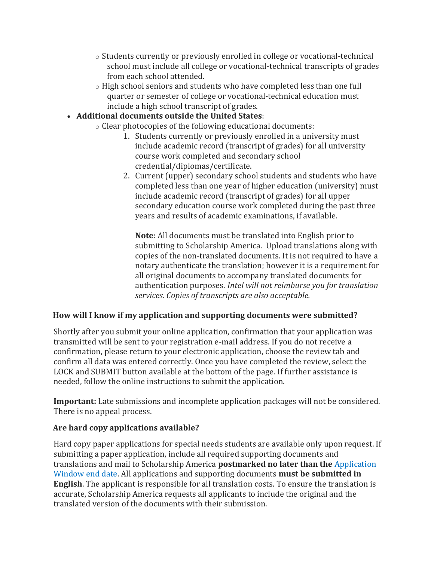- o Students currently or previously enrolled in college or vocational-technical school must include all college or vocational-technical transcripts of grades from each school attended.
- o High school seniors and students who have completed less than one full quarter or semester of college or vocational-technical education must include a high school transcript of grades.

#### **Additional documents outside the United States**:

- o Clear photocopies of the following educational documents:
	- 1. Students currently or previously enrolled in a university must include academic record (transcript of grades) for all university course work completed and secondary school credential/diplomas/certificate.
	- 2. Current (upper) secondary school students and students who have completed less than one year of higher education (university) must include academic record (transcript of grades) for all upper secondary education course work completed during the past three years and results of academic examinations, if available.

**Note**: All documents must be translated into English prior to submitting to Scholarship America. Upload translations along with copies of the non-translated documents. It is not required to have a notary authenticate the translation; however it is a requirement for all original documents to accompany translated documents for authentication purposes. *Intel will not reimburse you for translation services. Copies of transcripts are also acceptable.*

#### **How will I know if my application and supporting documents were submitted?**

Shortly after you submit your online application, confirmation that your application was transmitted will be sent to your registration e-mail address. If you do not receive a confirmation, please return to your electronic application, choose the review tab and confirm all data was entered correctly. Once you have completed the review, select the LOCK and SUBMIT button available at the bottom of the page. If further assistance is needed, follow the online instructions to submit the application.

**Important:** Late submissions and incomplete application packages will not be considered. There is no appeal process.

#### **Are hard copy applications available?**

Hard copy paper applications for special needs students are available only upon request. If submitting a paper application, include all required supporting documents and translations and mail to Scholarship America **postmarked no later than the** [Application](https://circuit.intel.com/content/hr/worklife/general/Scholarship_for_Employees_Children_FAQs.html#1)  [Window end date.](https://circuit.intel.com/content/hr/worklife/general/Scholarship_for_Employees_Children_FAQs.html#1) All applications and supporting documents **must be submitted in English**. The applicant is responsible for all translation costs. To ensure the translation is accurate, Scholarship America requests all applicants to include the original and the translated version of the documents with their submission.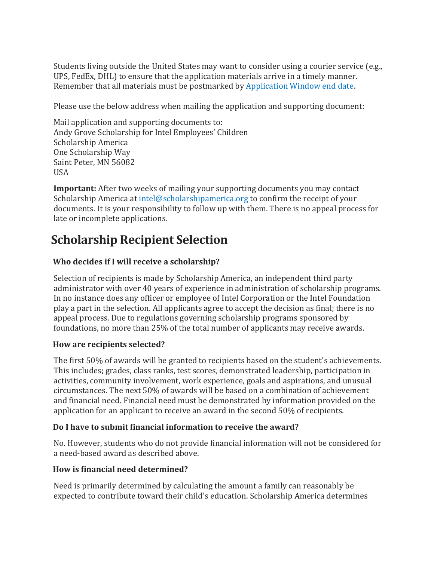Students living outside the United States may want to consider using a courier service (e.g., UPS, FedEx, DHL) to ensure that the application materials arrive in a timely manner. Remember that all materials must be postmarked by [Application Window end date.](https://circuit.intel.com/content/hr/worklife/general/Scholarship_for_Employees_Children_FAQs.html#1)

Please use the below address when mailing the application and supporting document:

Mail application and supporting documents to: Andy Grove Scholarship for Intel Employees' Children Scholarship America One Scholarship Way Saint Peter, MN 56082 USA

**Important:** After two weeks of mailing your supporting documents you may contact Scholarship America at [intel@scholarshipamerica.org](mailto:intel@scholarshipamerica.org) to confirm the receipt of your documents. It is your responsibility to follow up with them. There is no appeal process for late or incomplete applications.

# **Scholarship Recipient Selection**

## **Who decides if I will receive a scholarship?**

Selection of recipients is made by Scholarship America, an independent third party administrator with over 40 years of experience in administration of scholarship programs. In no instance does any officer or employee of Intel Corporation or the Intel Foundation play a part in the selection. All applicants agree to accept the decision as final; there is no appeal process. Due to regulations governing scholarship programs sponsored by foundations, no more than 25% of the total number of applicants may receive awards.

#### **How are recipients selected?**

The first 50% of awards will be granted to recipients based on the student's achievements. This includes; grades, class ranks, test scores, demonstrated leadership, participation in activities, community involvement, work experience, goals and aspirations, and unusual circumstances. The next 50% of awards will be based on a combination of achievement and financial need. Financial need must be demonstrated by information provided on the application for an applicant to receive an award in the second 50% of recipients.

#### **Do I have to submit financial information to receive the award?**

No. However, students who do not provide financial information will not be considered for a need-based award as described above.

#### **How is financial need determined?**

Need is primarily determined by calculating the amount a family can reasonably be expected to contribute toward their child's education. Scholarship America determines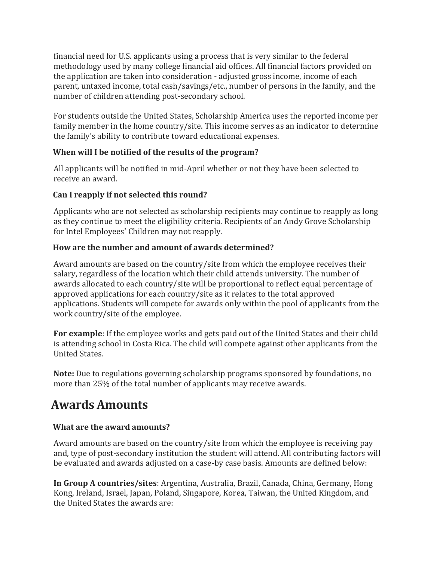financial need for U.S. applicants using a process that is very similar to the federal methodology used by many college financial aid offices. All financial factors provided on the application are taken into consideration - adjusted gross income, income of each parent, untaxed income, total cash/savings/etc., number of persons in the family, and the number of children attending post-secondary school.

For students outside the United States, Scholarship America uses the reported income per family member in the home country/site. This income serves as an indicator to determine the family's ability to contribute toward educational expenses.

#### **When will I be notified of the results of the program?**

All applicants will be notified in mid-April whether or not they have been selected to receive an award.

## **Can I reapply if not selected this round?**

Applicants who are not selected as scholarship recipients may continue to reapply as long as they continue to meet the eligibility criteria. Recipients of an Andy Grove Scholarship for Intel Employees' Children may not reapply.

## **How are the number and amount of awards determined?**

Award amounts are based on the country/site from which the employee receives their salary, regardless of the location which their child attends university. The number of awards allocated to each country/site will be proportional to reflect equal percentage of approved applications for each country/site as it relates to the total approved applications. Students will compete for awards only within the pool of applicants from the work country/site of the employee.

**For example**: If the employee works and gets paid out of the United States and their child is attending school in Costa Rica. The child will compete against other applicants from the United States.

**Note:** Due to regulations governing scholarship programs sponsored by foundations, no more than 25% of the total number of applicants may receive awards.

## **Awards Amounts**

## **What are the award amounts?**

Award amounts are based on the country/site from which the employee is receiving pay and, type of post-secondary institution the student will attend. All contributing factors will be evaluated and awards adjusted on a case-by case basis. Amounts are defined below:

**In Group A countries/sites**: Argentina, Australia, Brazil, Canada, China, Germany, Hong Kong, Ireland, Israel, Japan, Poland, Singapore, Korea, Taiwan, the United Kingdom, and the United States the awards are: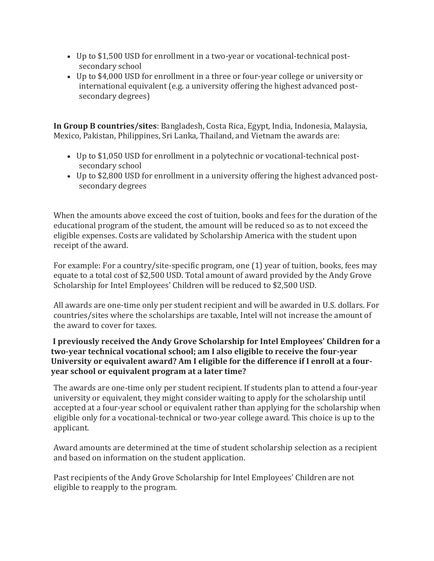- Up to \$1,500 USD for enrollment in a two-year or vocational-technical postsecondary school
- Up to \$4,000 USD for enrollment in a three or four-year college or university or international equivalent (e.g. a university offering the highest advanced postsecondary degrees)

**In Group B countries/sites**: Bangladesh, Costa Rica, Egypt, India, Indonesia, Malaysia, Mexico, Pakistan, Philippines, Sri Lanka, Thailand, and Vietnam the awards are:

- Up to \$1,050 USD for enrollment in a polytechnic or vocational-technical postsecondary school
- Up to \$2,800 USD for enrollment in a university offering the highest advanced postsecondary degrees

When the amounts above exceed the cost of tuition, books and fees for the duration of the educational program of the student, the amount will be reduced so as to not exceed the eligible expenses. Costs are validated by Scholarship America with the student upon receipt of the award.

For example: For a country/site-specific program, one (1) year of tuition, books, fees may equate to a total cost of \$2,500 USD. Total amount of award provided by the Andy Grove Scholarship for Intel Employees' Children will be reduced to \$2,500 USD.

All awards are one-time only per student recipient and will be awarded in U.S. dollars. For countries/sites where the scholarships are taxable, Intel will not increase the amount of the award to cover for taxes.

#### **I previously received the Andy Grove Scholarship for Intel Employees' Children for a two-year technical vocational school; am I also eligible to receive the four-year University or equivalent award? Am I eligible for the difference if I enroll at a fouryear school or equivalent program at a later time?**

The awards are one-time only per student recipient. If students plan to attend a four-year university or equivalent, they might consider waiting to apply for the scholarship until accepted at a four-year school or equivalent rather than applying for the scholarship when eligible only for a vocational-technical or two-year college award. This choice is up to the applicant.

Award amounts are determined at the time of student scholarship selection as a recipient and based on information on the student application.

Past recipients of the Andy Grove Scholarship for Intel Employees' Children are not eligible to reapply to the program.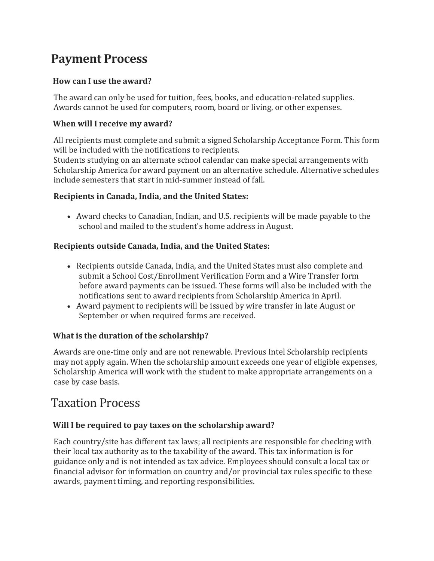## **Payment Process**

#### **How can I use the award?**

The award can only be used for tuition, fees, books, and education-related supplies. Awards cannot be used for computers, room, board or living, or other expenses.

#### **When will I receive my award?**

All recipients must complete and submit a signed Scholarship Acceptance Form. This form will be included with the notifications to recipients.

Students studying on an alternate school calendar can make special arrangements with Scholarship America for award payment on an alternative schedule. Alternative schedules include semesters that start in mid-summer instead of fall.

#### **Recipients in Canada, India, and the United States:**

 Award checks to Canadian, Indian, and U.S. recipients will be made payable to the school and mailed to the student's home address in August.

#### **Recipients outside Canada, India, and the United States:**

- Recipients outside Canada, India, and the United States must also complete and submit a School Cost/Enrollment Verification Form and a Wire Transfer form before award payments can be issued. These forms will also be included with the notifications sent to award recipients from Scholarship America in April.
- Award payment to recipients will be issued by wire transfer in late August or September or when required forms are received.

#### **What is the duration of the scholarship?**

Awards are one-time only and are not renewable. Previous Intel Scholarship recipients may not apply again. When the scholarship amount exceeds one year of eligible expenses, Scholarship America will work with the student to make appropriate arrangements on a case by case basis.

## Taxation Process

#### **Will I be required to pay taxes on the scholarship award?**

Each country/site has different tax laws; all recipients are responsible for checking with their local tax authority as to the taxability of the award. This tax information is for guidance only and is not intended as tax advice. Employees should consult a local tax or financial advisor for information on country and/or provincial tax rules specific to these awards, payment timing, and reporting responsibilities.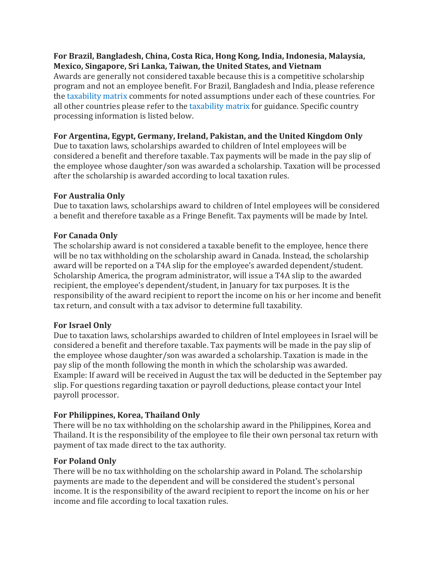#### **For Brazil, Bangladesh, China, Costa Rica, Hong Kong, India, Indonesia, Malaysia, Mexico, Singapore, Sri Lanka, Taiwan, the United States, and Vietnam**

Awards are generally not considered taxable because this is a competitive scholarship program and not an employee benefit. For Brazil, Bangladesh and India, please reference the [taxability matrix](https://circuit.intel.com/content/hr/learning/ext-edu/Intel_Scholarship_Taxability_Matrix.html) comments for noted assumptions under each of these countries. For all other countries please refer to the [taxability matrix](https://circuit.intel.com/content/hr/learning/ext-edu/Intel_Scholarship_Taxability_Matrix.html) for guidance. Specific country processing information is listed below.

#### **For Argentina, Egypt, Germany, Ireland, Pakistan, and the United Kingdom Only**

Due to taxation laws, scholarships awarded to children of Intel employees will be considered a benefit and therefore taxable. Tax payments will be made in the pay slip of the employee whose daughter/son was awarded a scholarship. Taxation will be processed after the scholarship is awarded according to local taxation rules.

#### **For Australia Only**

Due to taxation laws, scholarships award to children of Intel employees will be considered a benefit and therefore taxable as a Fringe Benefit. Tax payments will be made by Intel.

#### **For Canada Only**

The scholarship award is not considered a taxable benefit to the employee, hence there will be no tax withholding on the scholarship award in Canada. Instead, the scholarship award will be reported on a T4A slip for the employee's awarded dependent/student. Scholarship America, the program administrator, will issue a T4A slip to the awarded recipient, the employee's dependent/student, in January for tax purposes. It is the responsibility of the award recipient to report the income on his or her income and benefit tax return, and consult with a tax advisor to determine full taxability.

#### **For Israel Only**

Due to taxation laws, scholarships awarded to children of Intel employees in Israel will be considered a benefit and therefore taxable. Tax payments will be made in the pay slip of the employee whose daughter/son was awarded a scholarship. Taxation is made in the pay slip of the month following the month in which the scholarship was awarded. Example: If award will be received in August the tax will be deducted in the September pay slip. For questions regarding taxation or payroll deductions, please contact your Intel payroll processor.

#### **For Philippines, Korea, Thailand Only**

There will be no tax withholding on the scholarship award in the Philippines, Korea and Thailand. It is the responsibility of the employee to file their own personal tax return with payment of tax made direct to the tax authority.

#### **For Poland Only**

There will be no tax withholding on the scholarship award in Poland. The scholarship payments are made to the dependent and will be considered the student's personal income. It is the responsibility of the award recipient to report the income on his or her income and file according to local taxation rules.